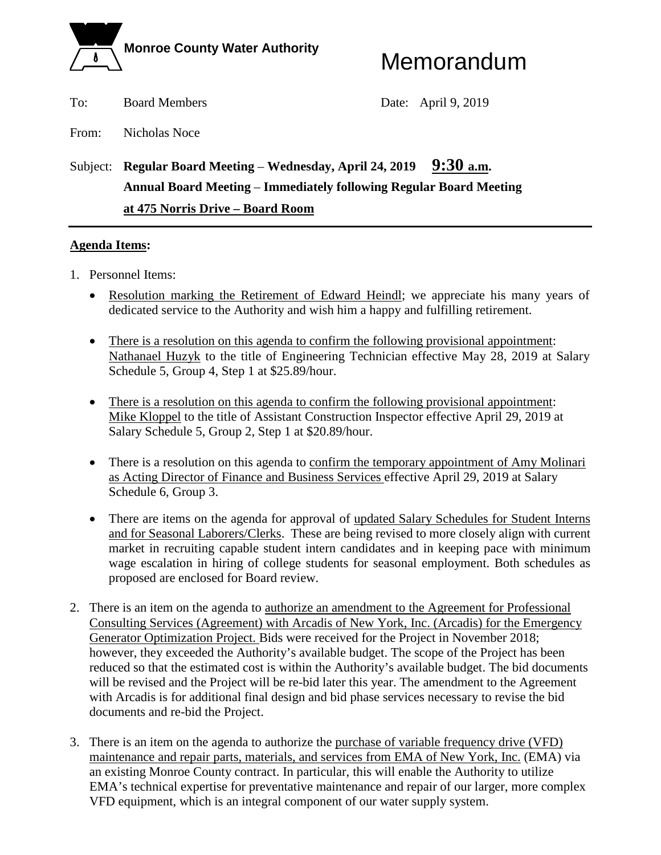

To: Board Members Date: April 9, 2019

From: Nicholas Noce

## Subject: **Regular Board Meeting** – **Wednesday, April 24, 2019 9:30 a.m. Annual Board Meeting** – **Immediately following Regular Board Meeting at 475 Norris Drive – Board Room**

#### **Agenda Items:**

- 1. Personnel Items:
	- Resolution marking the Retirement of Edward Heindl; we appreciate his many years of dedicated service to the Authority and wish him a happy and fulfilling retirement.
	- There is a resolution on this agenda to confirm the following provisional appointment: Nathanael Huzyk to the title of Engineering Technician effective May 28, 2019 at Salary Schedule 5, Group 4, Step 1 at \$25.89/hour.
	- There is a resolution on this agenda to confirm the following provisional appointment: Mike Kloppel to the title of Assistant Construction Inspector effective April 29, 2019 at Salary Schedule 5, Group 2, Step 1 at \$20.89/hour.
	- There is a resolution on this agenda to confirm the temporary appointment of Amy Molinari as Acting Director of Finance and Business Services effective April 29, 2019 at Salary Schedule 6, Group 3.
	- There are items on the agenda for approval of updated Salary Schedules for Student Interns and for Seasonal Laborers/Clerks. These are being revised to more closely align with current market in recruiting capable student intern candidates and in keeping pace with minimum wage escalation in hiring of college students for seasonal employment. Both schedules as proposed are enclosed for Board review.
- 2. There is an item on the agenda to authorize an amendment to the Agreement for Professional Consulting Services (Agreement) with Arcadis of New York, Inc. (Arcadis) for the Emergency Generator Optimization Project. Bids were received for the Project in November 2018; however, they exceeded the Authority's available budget. The scope of the Project has been reduced so that the estimated cost is within the Authority's available budget. The bid documents will be revised and the Project will be re-bid later this year. The amendment to the Agreement with Arcadis is for additional final design and bid phase services necessary to revise the bid documents and re-bid the Project.
- 3. There is an item on the agenda to authorize the purchase of variable frequency drive (VFD) maintenance and repair parts, materials, and services from EMA of New York, Inc. (EMA) via an existing Monroe County contract. In particular, this will enable the Authority to utilize EMA's technical expertise for preventative maintenance and repair of our larger, more complex VFD equipment, which is an integral component of our water supply system.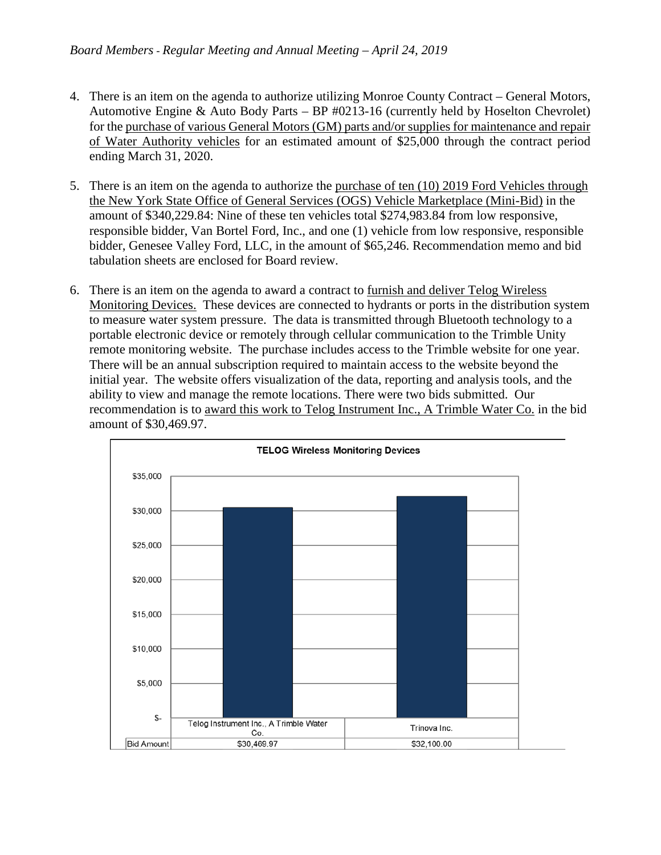- 4. There is an item on the agenda to authorize utilizing Monroe County Contract General Motors, Automotive Engine & Auto Body Parts – BP #0213-16 (currently held by Hoselton Chevrolet) for the purchase of various General Motors (GM) parts and/or supplies for maintenance and repair of Water Authority vehicles for an estimated amount of \$25,000 through the contract period ending March 31, 2020.
- 5. There is an item on the agenda to authorize the purchase of ten (10) 2019 Ford Vehicles through the New York State Office of General Services (OGS) Vehicle Marketplace (Mini-Bid) in the amount of \$340,229.84: Nine of these ten vehicles total \$274,983.84 from low responsive, responsible bidder, Van Bortel Ford, Inc., and one (1) vehicle from low responsive, responsible bidder, Genesee Valley Ford, LLC, in the amount of \$65,246. Recommendation memo and bid tabulation sheets are enclosed for Board review.
- 6. There is an item on the agenda to award a contract to furnish and deliver Telog Wireless Monitoring Devices. These devices are connected to hydrants or ports in the distribution system to measure water system pressure. The data is transmitted through Bluetooth technology to a portable electronic device or remotely through cellular communication to the Trimble Unity remote monitoring website. The purchase includes access to the Trimble website for one year. There will be an annual subscription required to maintain access to the website beyond the initial year. The website offers visualization of the data, reporting and analysis tools, and the ability to view and manage the remote locations. There were two bids submitted. Our recommendation is to award this work to Telog Instrument Inc., A Trimble Water Co. in the bid amount of \$30,469.97.

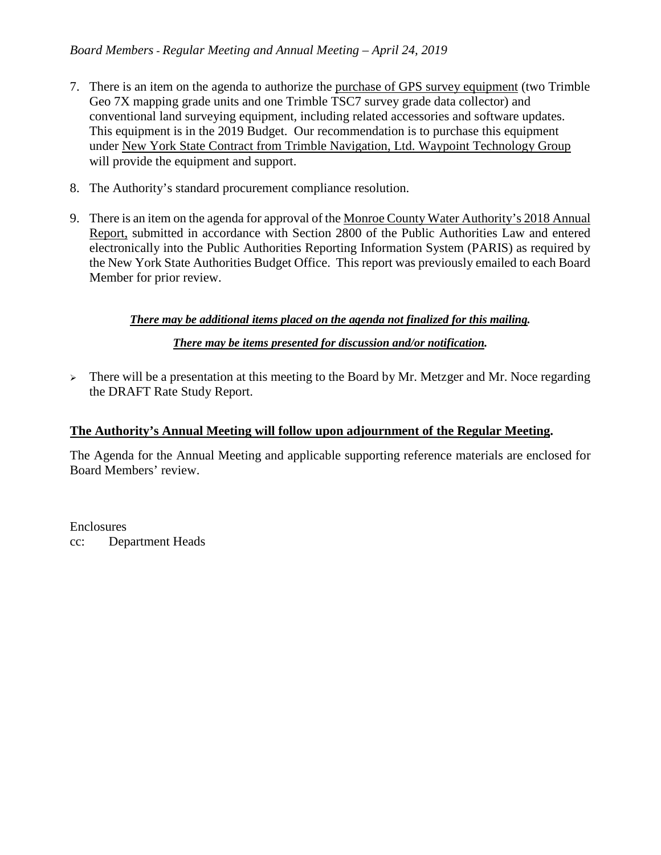#### *Board Members - Regular Meeting and Annual Meeting – April 24, 2019*

- 7. There is an item on the agenda to authorize the purchase of GPS survey equipment (two Trimble Geo 7X mapping grade units and one Trimble TSC7 survey grade data collector) and conventional land surveying equipment, including related accessories and software updates. This equipment is in the 2019 Budget. Our recommendation is to purchase this equipment under New York State Contract from Trimble Navigation, Ltd. Waypoint Technology Group will provide the equipment and support.
- 8. The Authority's standard procurement compliance resolution.
- 9. There is an item on the agenda for approval of the Monroe County Water Authority's 2018 Annual Report, submitted in accordance with Section 2800 of the Public Authorities Law and entered electronically into the Public Authorities Reporting Information System (PARIS) as required by the New York State Authorities Budget Office. This report was previously emailed to each Board Member for prior review.

#### *There may be additional items placed on the agenda not finalized for this mailing.*

#### *There may be items presented for discussion and/or notification.*

 $\triangleright$  There will be a presentation at this meeting to the Board by Mr. Metzger and Mr. Noce regarding the DRAFT Rate Study Report.

#### **The Authority's Annual Meeting will follow upon adjournment of the Regular Meeting.**

The Agenda for the Annual Meeting and applicable supporting reference materials are enclosed for Board Members' review.

Enclosures cc: Department Heads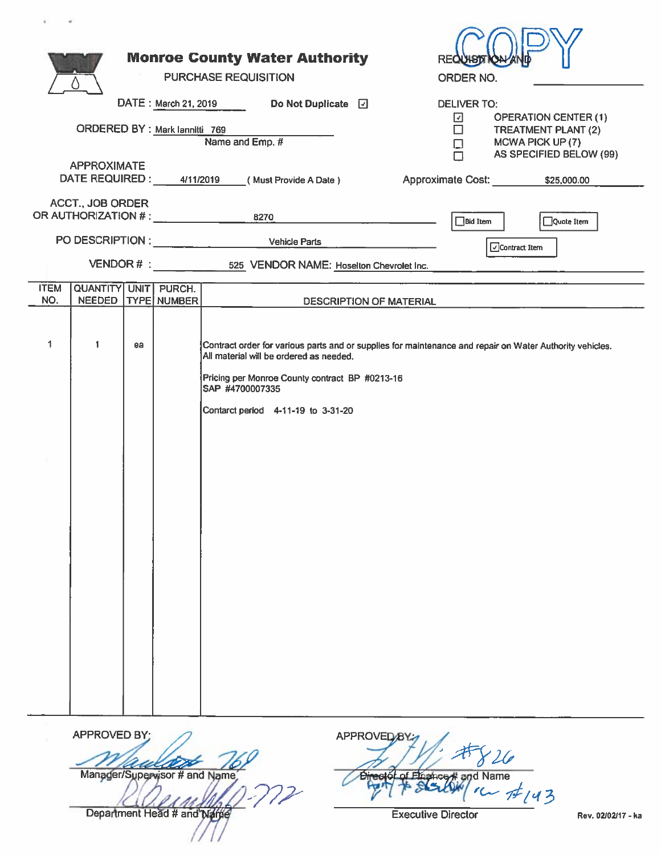|                    |                                                                  |    |                               |                 | <b>Monroe County Water Authority</b><br>PURCHASE REQUISITION                                                                    |                         |                        |                                | <b>REQUIST</b><br><b>ORDER NO.</b>          |                                    |                                                                                                          |  |
|--------------------|------------------------------------------------------------------|----|-------------------------------|-----------------|---------------------------------------------------------------------------------------------------------------------------------|-------------------------|------------------------|--------------------------------|---------------------------------------------|------------------------------------|----------------------------------------------------------------------------------------------------------|--|
|                    | ORDERED BY : Mark lannitti 769                                   |    |                               |                 | DATE: March 21, 2019 Do Not Duplicate [7]<br>Name and Emp. #                                                                    |                         |                        |                                | <b>DELIVER TO:</b><br>⊡<br>$\Box$<br>$\Box$ |                                    | <b>OPERATION CENTER (1)</b><br><b>TREATMENT PLANT (2)</b><br>MCWA PICK UP (7)                            |  |
|                    | <b>APPROXIMATE</b><br>DATE REQUIRED: 4/11/2019                   |    |                               |                 | (Must Provide A Date)                                                                                                           |                         |                        |                                | $\Box$                                      |                                    | AS SPECIFIED BELOW (99)<br>Approximate Cost: \$25,000.00                                                 |  |
|                    | <b>ACCT., JOB ORDER</b><br>OR AUTHORIZATION # : ________________ |    |                               |                 | 8270<br>PO DESCRIPTION : Vehicle Parts                                                                                          |                         |                        |                                | Bid Item                                    |                                    | Quote Item                                                                                               |  |
|                    |                                                                  |    |                               |                 | VENDOR # : 525 VENDOR NAME: Hoselton Chevrolet Inc.                                                                             |                         |                        |                                |                                             | $\sqrt{\frac{1}{2}}$ Contract Item |                                                                                                          |  |
| <b>ITEM</b><br>NO. | QUANTITY UNIT PURCH.<br><b>NEEDED</b>                            |    | <b>TYPE NUMBER</b>            |                 |                                                                                                                                 | DESCRIPTION OF MATERIAL |                        |                                |                                             |                                    |                                                                                                          |  |
| 1                  | $\mathbf{1}$                                                     | ea |                               | SAP #4700007335 | All material will be ordered as needed.<br>Pricing per Monroe County contract BP #0213-16<br>Contarct period 4-11-19 to 3-31-20 |                         |                        |                                |                                             |                                    | Contract order for various parts and or supplies for maintenance and repair on Water Authority vehicles. |  |
|                    | <b>APPROVED BY:</b>                                              |    | Manager/Supervisor # and Name |                 |                                                                                                                                 |                         | APPROVED <sub>/B</sub> | Director of Elnahce # and Name |                                             | 26                                 |                                                                                                          |  |

Department Head # and Nation

got & Staller (1 12/43

**Executive Director**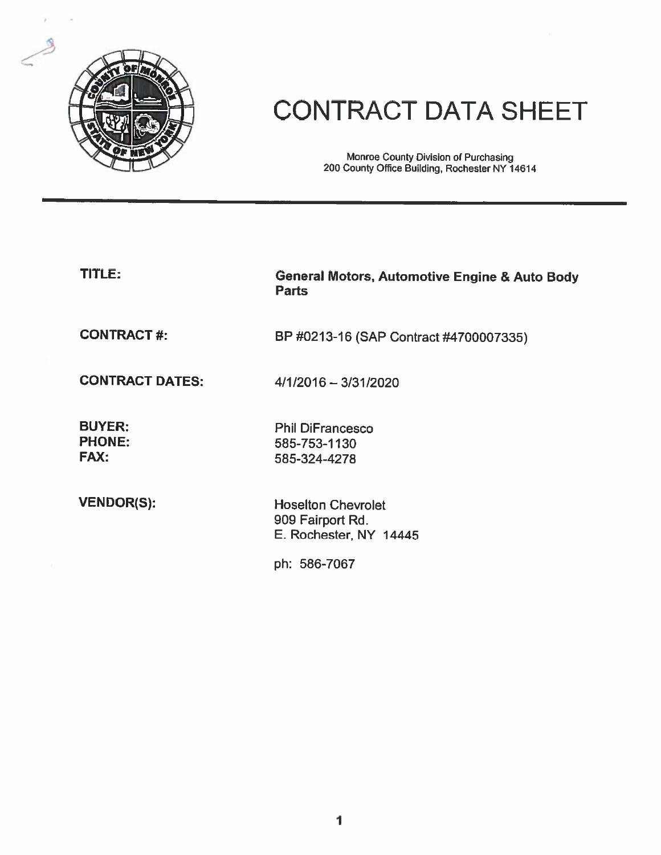

# **CONTRACT DATA SHEET**

Monroe County Division of Purchasing<br>200 County Office Building, Rochester NY 14614

| TITLE:                                        | <b>General Motors, Automotive Engine &amp; Auto Body</b><br><b>Parts</b> |
|-----------------------------------------------|--------------------------------------------------------------------------|
| <b>CONTRACT#:</b>                             | BP #0213-16 (SAP Contract #4700007335)                                   |
| <b>CONTRACT DATES:</b>                        | 4/1/2016 - 3/31/2020                                                     |
| <b>BUYER:</b><br><b>PHONE:</b><br><b>FAX:</b> | <b>Phil DiFrancesco</b><br>585-753-1130<br>585-324-4278                  |
| <b>VENDOR(S):</b>                             | <b>Hoselton Chevrolet</b><br>909 Fairport Rd.<br>E. Rochester, NY 14445  |
|                                               | ph: 586-7067                                                             |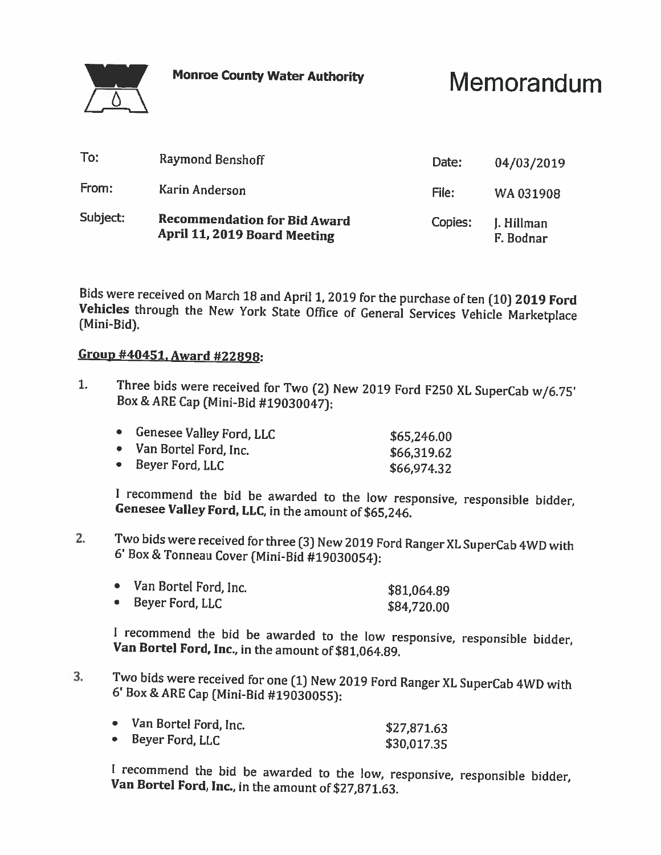**Monroe County Water Authority** 



Memorandum

| To:      | Raymond Benshoff                                                    | Date:   | 04/03/2019              |
|----------|---------------------------------------------------------------------|---------|-------------------------|
| From:    | Karin Anderson                                                      | File:   | WA 031908               |
| Subject: | <b>Recommendation for Bid Award</b><br>April 11, 2019 Board Meeting | Copies: | J. Hillman<br>F. Bodnar |

Bids were received on March 18 and April 1, 2019 for the purchase of ten (10) 2019 Ford Vehicles through the New York State Office of General Services Vehicle Marketplace (Mini-Bid).

#### Group #40451, Award #22898:

 $1.$ Three bids were received for Two (2) New 2019 Ford F250 XL SuperCab w/6.75' Box & ARE Cap (Mini-Bid #19030047):

| Genesee Valley Ford, LLC | \$65,246.00 |
|--------------------------|-------------|
| Van Bortel Ford, Inc.    | \$66,319.62 |
| Beyer Ford, LLC          | \$66,974.32 |

I recommend the bid be awarded to the low responsive, responsible bidder, Genesee Valley Ford, LLC, in the amount of \$65,246.

Two bids were received for three (3) New 2019 Ford Ranger XL SuperCab 4WD with  $2.$ 6' Box & Tonneau Cover (Mini-Bid #19030054):

| • Van Bortel Ford, Inc. | \$81,064.89 |
|-------------------------|-------------|
| • Beyer Ford, LLC       | \$84,720.00 |

I recommend the bid be awarded to the low responsive, responsible bidder, Van Bortel Ford, Inc., in the amount of \$81,064.89.

Two bids were received for one (1) New 2019 Ford Ranger XL SuperCab 4WD with  $3.$ 6' Box & ARE Cap (Mini-Bid #19030055):

| Van Bortel Ford, Inc. | \$27,871.63 |
|-----------------------|-------------|
| Beyer Ford, LLC       | \$30,017.35 |

I recommend the bid be awarded to the low, responsive, responsible bidder, Van Bortel Ford, Inc., in the amount of \$27,871.63.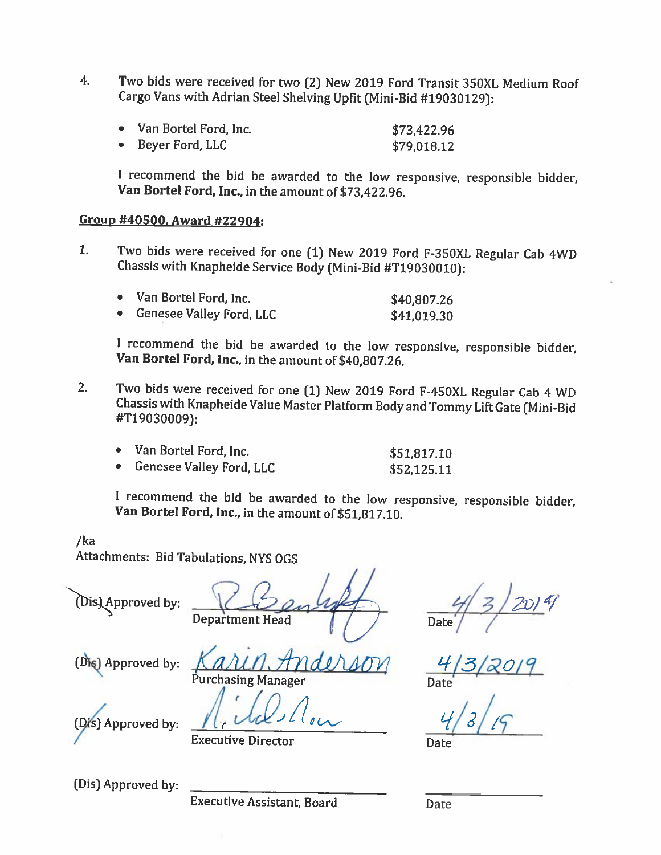Two bids were received for two (2) New 2019 Ford Transit 350XL Medium Roof  $4<sub>1</sub>$ Cargo Vans with Adrian Steel Shelving Upfit (Mini-Bid #19030129):

| • Van Bortel Ford, Inc. | \$73,422.96 |
|-------------------------|-------------|
| Beyer Ford, LLC         | \$79.018.12 |

I recommend the bid be awarded to the low responsive, responsible bidder, Van Bortel Ford, Inc., in the amount of \$73,422.96.

#### Group #40500, Award #22904:

 $1.$ Two bids were received for one (1) New 2019 Ford F-350XL Regular Cab 4WD Chassis with Knapheide Service Body (Mini-Bid #T19030010):

| • Van Bortel Ford, Inc.    | \$40,807.26 |
|----------------------------|-------------|
| • Genesee Valley Ford, LLC | \$41,019.30 |

I recommend the bid be awarded to the low responsive, responsible bidder, Van Bortel Ford, Inc., in the amount of \$40,807.26.

 $2.$ Two bids were received for one (1) New 2019 Ford F-450XL Regular Cab 4 WD Chassis with Knapheide Value Master Platform Body and Tommy Lift Gate (Mini-Bid #T19030009):

| • Van Bortel Ford, Inc.    | \$51,817.10 |
|----------------------------|-------------|
| • Genesee Valley Ford, LLC | \$52,125.11 |

I recommend the bid be awarded to the low responsive, responsible bidder, Van Bortel Ford, Inc., in the amount of \$51,817.10.

 $/ka$ Attachments: Bid Tabulations, NYS OGS

(Dis) Approved by:

(Die) Approved by:

**Department Head** 

**Date** 

Approved by:

**Executive Director** 

**Purchasing Manager** 

Date

(Dis) Approved by:

**Executive Assistant, Board** 

Date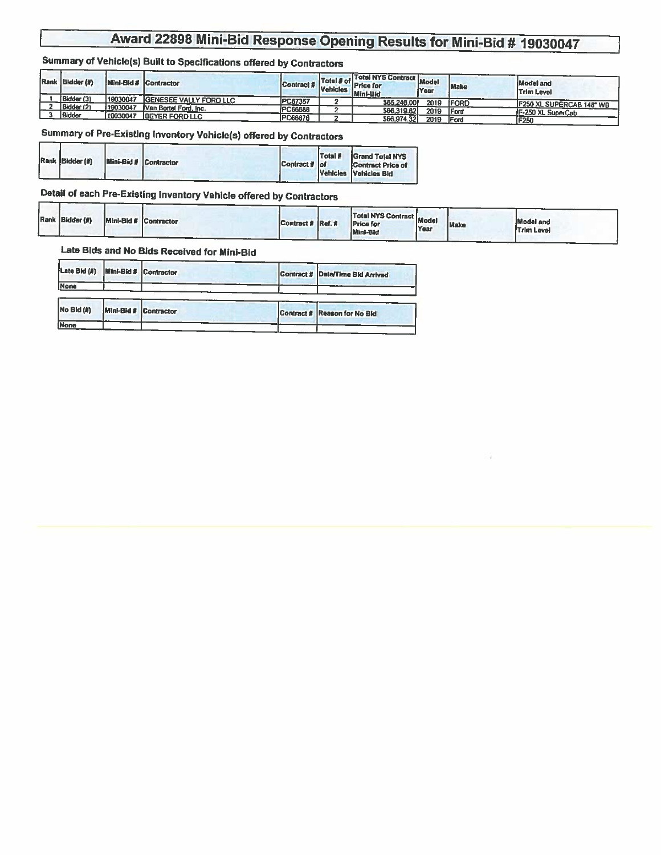### Summary of Vehicle(s) Built to Specifications offered by Contractors

| Rank Bidder (#) |          | Mini-Bld # Contractor         | <b>Contract #</b> Vehicles I. | Total NYS Contract Model<br>Total # of Price for<br>Mini-Bid | Year | Make         | Model and<br><b>Trim Level</b> |
|-----------------|----------|-------------------------------|-------------------------------|--------------------------------------------------------------|------|--------------|--------------------------------|
| Bidder (3)      | 19030047 | <b>GENESEE VALLY FORD LLC</b> | <b>PC67357</b>                | \$65,246,00                                                  | 2019 | <b>IFORD</b> |                                |
| Bidder (2)      | 19030047 | Van Bortel Ford, Inc.         | <b>PC66688</b>                |                                                              |      |              | F250 XL SUPERCAB 148° WB       |
| Bidder          | 19030047 | <b>BEYER FORD LLC</b>         |                               | \$66,319.62                                                  | 2019 | <b>IFord</b> | <b>IF-250 XL SuperCab</b>      |
|                 |          |                               | PC66676                       | \$66,974.32                                                  | 2019 | <b>IFord</b> | F250                           |

#### Summary of Pre-Existing Inventory Vehicle(s) offered by Contractors

|  | Rank Bidder (#) |  | <b>Mini-Bid # Contractor</b> | Contract # of | Total # | <b>Grand Total NYS</b><br>Contract Price of<br>Vehicles Vehicles Bid |
|--|-----------------|--|------------------------------|---------------|---------|----------------------------------------------------------------------|
|--|-----------------|--|------------------------------|---------------|---------|----------------------------------------------------------------------|

#### Detail of each Pre-Existing Inventory Vehicle offered by Contractors

| Rank Bidder (#) | Mini-Bid # Contractor |  | Contract # Ref. # |  | <b>Total NYS Contract Model Head</b><br><b>Price for</b><br>Mini-Bid | Year | Make | Model and<br><b>Trim Level</b> |
|-----------------|-----------------------|--|-------------------|--|----------------------------------------------------------------------|------|------|--------------------------------|
|-----------------|-----------------------|--|-------------------|--|----------------------------------------------------------------------|------|------|--------------------------------|

| Late Bld (#)<br>None  |                       | Mini-Bid # Contractor | Contract # Date/Time Bid Arrived |
|-----------------------|-----------------------|-----------------------|----------------------------------|
| No <sub>Bld</sub> (#) | Mini-Bid # Contractor |                       | Contract # Reason for No Bid     |
| <b>None</b>           |                       |                       |                                  |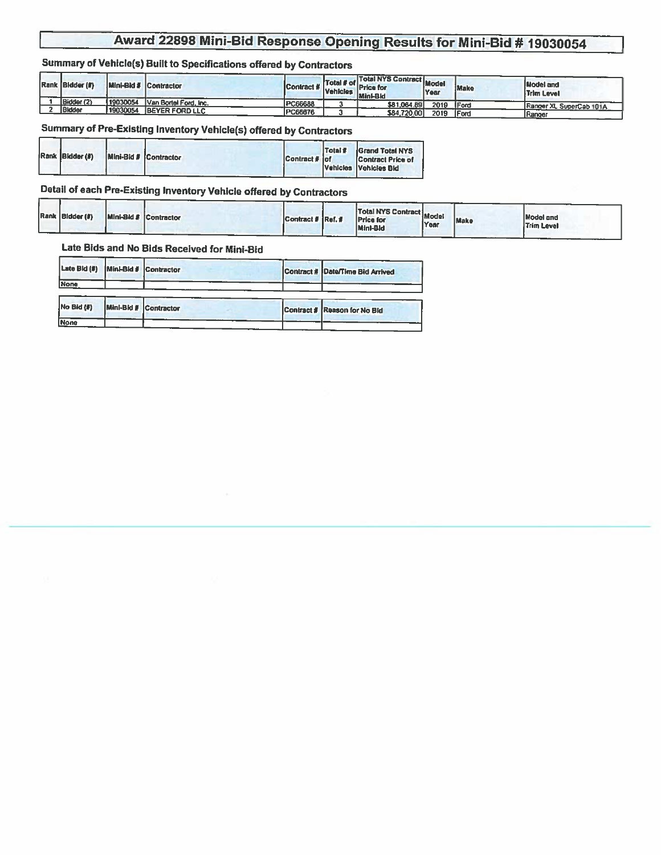#### Summary of Vehicle(s) Built to Specifications offered by Contractors

| Rank Bidder (#) |          | Mini-Bid # Contractor | Contract # Vehicles | Total NYS Contract Model<br><b>Example 11 Total # of Price for</b><br>Mini-Bid | Year | Make         | <b>Model and</b><br><b>Trim Level</b> |
|-----------------|----------|-----------------------|---------------------|--------------------------------------------------------------------------------|------|--------------|---------------------------------------|
| Bidder (2)      | 19030054 | Van Bortel Ford, Inc. | PC66688             | \$81,064.89                                                                    | 2019 | <b>IFord</b> | Ranger XL SuperCab 101A               |
| Bidder          | 19030054 | BEYER FORD LLC        | PC66676             | \$84,720.00                                                                    | 2019 | <b>IFord</b> |                                       |
|                 |          |                       |                     |                                                                                |      |              | Ranger                                |

#### Summary of Pre-Existing Inventory Vehicle(s) offered by Contractors

|  | Rank Bidder (#)<br>. |  | Mini-Bid # Contractor | Contract # lof | Total # | <b>Grand Total NYS</b><br>Contract Price of<br>Vehicles Vehicles Bid |
|--|----------------------|--|-----------------------|----------------|---------|----------------------------------------------------------------------|
|--|----------------------|--|-----------------------|----------------|---------|----------------------------------------------------------------------|

#### Detail of each Pre-Existing Inventory Vehicle offered by Contractors

| Rank Bidder (#)<br>Mini-Bid # Contractor | Contract # Ref. # | <b>Total NYS Contract Model Inc.</b><br><b>Price for</b><br>Mini-Bid | <b>Year</b> | Make | Model and<br><b>Trim Level</b> |
|------------------------------------------|-------------------|----------------------------------------------------------------------|-------------|------|--------------------------------|
|------------------------------------------|-------------------|----------------------------------------------------------------------|-------------|------|--------------------------------|

| Late $Bid$ $(\#)$ |                       | Mini-Bid # Contractor | Contract # Date/Time Bid Arrived |
|-------------------|-----------------------|-----------------------|----------------------------------|
| <b>None</b>       |                       |                       |                                  |
|                   |                       |                       |                                  |
| $No$ Bid $($      | Mini-Bid # Contractor |                       | Contract # Reason for No Bld     |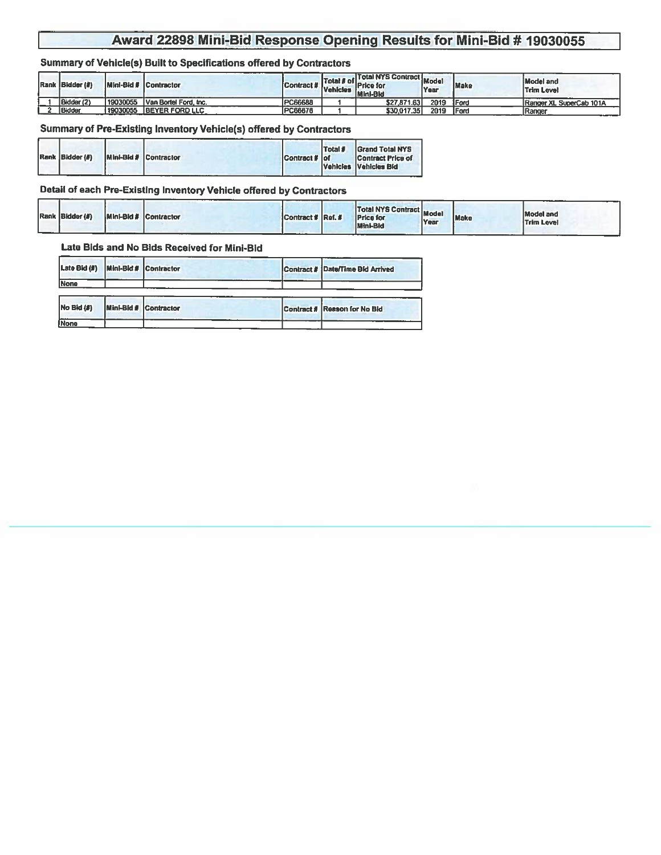#### Summary of Vehicle(s) Built to Specifications offered by Contractors

| Rank Bidder (#) |          | Mini-Bld # Contractor | <b>Contract #</b> Vehicles [ | Total NYS Contract Model<br><b>Total # of Price for</b><br>Mini-Bid | <b>Year</b> | Make         | Model and<br><b>Trim Level</b> |
|-----------------|----------|-----------------------|------------------------------|---------------------------------------------------------------------|-------------|--------------|--------------------------------|
| Bidder (2)      | 19030055 | Van Bortel Ford, Inc. | <b>PC66688</b>               | \$27,871.63                                                         | 2019        | <b>IFord</b> | Ranger XL SuperCab 101A        |
| Bidder          | 19030055 | <b>BEYER FORD LLC</b> | PC66676                      | \$30,017.35                                                         | 2019        | <b>IFord</b> | Ranger                         |

#### Summary of Pre-Existing Inventory Vehicle(s) offered by Contractors

|  | Rank Bldder (#) | Mini-Bid # Contractor | Contract # of | Total # | <b>Grand Total NYS</b><br><b>Contract Price of</b><br>Vehicles Vehicles Bid |
|--|-----------------|-----------------------|---------------|---------|-----------------------------------------------------------------------------|
|--|-----------------|-----------------------|---------------|---------|-----------------------------------------------------------------------------|

#### Detail of each Pre-Existing Inventory Vehicle offered by Contractors

|  | Rank Bidder (#) |  | Mini-Bld # Contractor<br>. | _________<br>Contract # Ref. # |  | Total NYS Contract Model<br><b>Price for</b><br>Mini-Bid | Year | <b>Make</b> | <b>Model and</b><br><b>Trim Level</b> |
|--|-----------------|--|----------------------------|--------------------------------|--|----------------------------------------------------------|------|-------------|---------------------------------------|
|--|-----------------|--|----------------------------|--------------------------------|--|----------------------------------------------------------|------|-------------|---------------------------------------|

| Late Bid (#)   | Mini-Bid # Contractor | Contract # Date/Time Bld Arrived |
|----------------|-----------------------|----------------------------------|
| None           |                       |                                  |
| $NO$ Bid $(B)$ | Mini-Bid # Contractor | Contract # Reason for No Bid     |
|                |                       |                                  |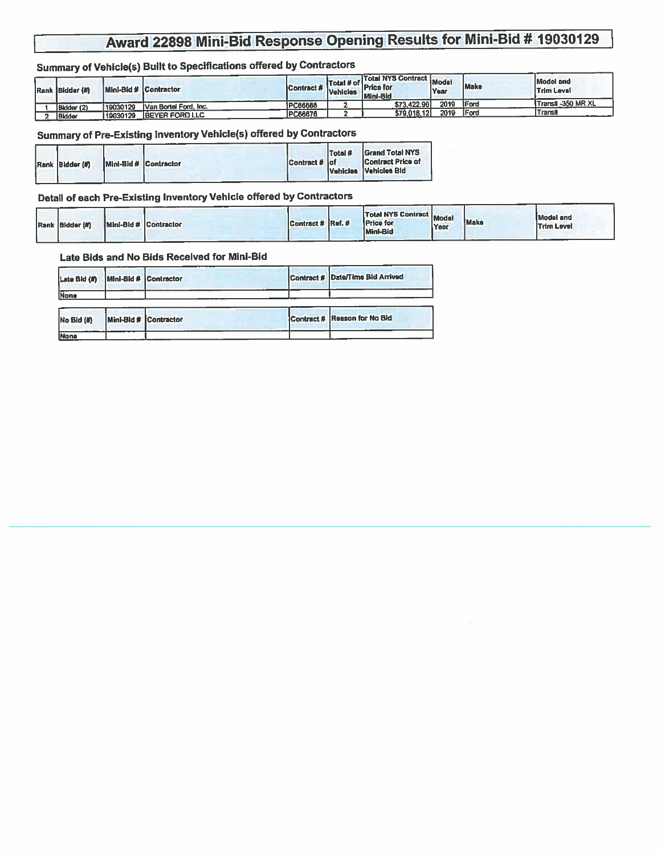### Summary of Vehicle(s) Built to Specifications offered by Contractors

| Rank Bidder (#) | Mini-Bid # Contractor |                       | <b>IContract #</b> | <b>Vehicles</b> | <b>Total NYS Contract Model</b><br><b>Example 11 Total # of Price for</b><br>Mini-Bid | Year | Make         | <b>Model and</b><br><b>Trim Level</b> |
|-----------------|-----------------------|-----------------------|--------------------|-----------------|---------------------------------------------------------------------------------------|------|--------------|---------------------------------------|
| Bidder (2)      | 19030129              | Van Bortel Ford, Inc. | PC66688            |                 | \$73,422.96                                                                           | 2019 | <b>IFord</b> | Transit -350 MR XL                    |
| <b>Ridder</b>   | 119030129             | TEEYER FORD LLC       | PC66676            |                 | \$79,018.12                                                                           | 2019 | Ford         | Transh                                |

#### Summary of Pre-Existing Inventory Vehicle(s) offered by Contractors

|  | Rank Bidder (#) | Mini-Bid # Contractor |  | Contract # of | Total # | <b>Grand Total NYS</b><br><b>Contract Price of</b><br>Vehicles Vehicles Bid |
|--|-----------------|-----------------------|--|---------------|---------|-----------------------------------------------------------------------------|
|--|-----------------|-----------------------|--|---------------|---------|-----------------------------------------------------------------------------|

#### Detail of each Pre-Existing Inventory Vehicle offered by Contractors

| Rank Bidder (#) |  | Mini-Bld # Contractor | Contract # Ref. # |  | Total NYS Contract Model<br><b>Price for</b><br>Minl-Bid | <b>Year</b> | Make | Model and<br><b>Trim Level</b> |
|-----------------|--|-----------------------|-------------------|--|----------------------------------------------------------|-------------|------|--------------------------------|
|-----------------|--|-----------------------|-------------------|--|----------------------------------------------------------|-------------|------|--------------------------------|

| Late Bid (#) | Mini-Bid # Contractor |  | Contract # Date/Time Bid Arrived |
|--------------|-----------------------|--|----------------------------------|
| None         |                       |  |                                  |
| No Bid (#)   | Mini-Bid # Contractor |  | Contract # Reason for No Bid     |
| <b>INone</b> |                       |  |                                  |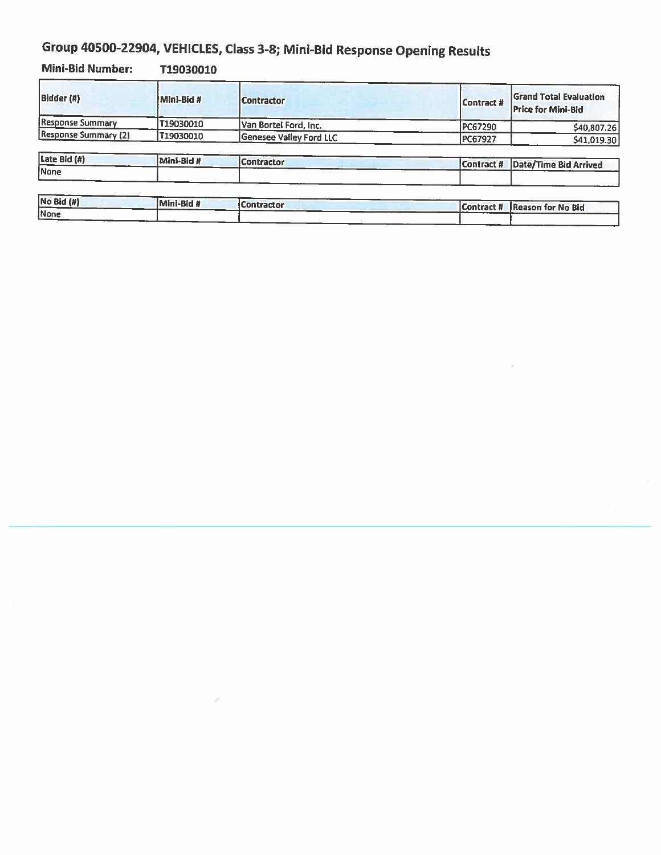# Group 40500-22904, VEHICLES, Class 3-8; Mini-Bid Response Opening Results

S.

**Mini-Bid Number:** T19030010

| Bidder (#)                  | Mini-Bid # | <b>Contractor</b>       | Contract #     | <b>Grand Total Evaluation</b><br><b>Price for Mini-Bid</b> |
|-----------------------------|------------|-------------------------|----------------|------------------------------------------------------------|
| Response Summary            | T19030010  | Van Bortel Ford, Inc.   | PC67290        | \$40,807.26                                                |
| <b>Response Summary (2)</b> | T19030010  | Genesee Valley Ford LLC | <b>PC67927</b> | \$41,019.30                                                |
| Late Bid (#)                | Mini-Bid # | <b>Contractor</b>       | Contract #     |                                                            |
| None                        |            |                         |                | Date/Time Bid Arrived                                      |

| $NO$ Bid $(H)$ | Mini-Bid # | Contractor | Contract # | <b>Reason for No Bid</b> |
|----------------|------------|------------|------------|--------------------------|
| None           |            |            |            |                          |
|                |            |            |            |                          |